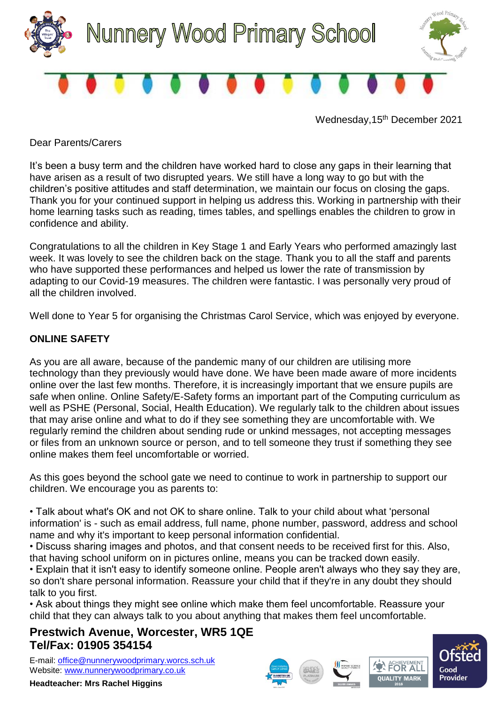

Wednesday, 15<sup>th</sup> December 2021

Dear Parents/Carers

It's been a busy term and the children have worked hard to close any gaps in their learning that have arisen as a result of two disrupted years. We still have a long way to go but with the children's positive attitudes and staff determination, we maintain our focus on closing the gaps. Thank you for your continued support in helping us address this. Working in partnership with their home learning tasks such as reading, times tables, and spellings enables the children to grow in confidence and ability.

Congratulations to all the children in Key Stage 1 and Early Years who performed amazingly last week. It was lovely to see the children back on the stage. Thank you to all the staff and parents who have supported these performances and helped us lower the rate of transmission by adapting to our Covid-19 measures. The children were fantastic. I was personally very proud of all the children involved.

Well done to Year 5 for organising the Christmas Carol Service, which was enjoyed by everyone.

## **ONLINE SAFETY**

As you are all aware, because of the pandemic many of our children are utilising more technology than they previously would have done. We have been made aware of more incidents online over the last few months. Therefore, it is increasingly important that we ensure pupils are safe when online. Online Safety/E-Safety forms an important part of the Computing curriculum as well as PSHE (Personal, Social, Health Education). We regularly talk to the children about issues that may arise online and what to do if they see something they are uncomfortable with. We regularly remind the children about sending rude or unkind messages, not accepting messages or files from an unknown source or person, and to tell someone they trust if something they see online makes them feel uncomfortable or worried.

As this goes beyond the school gate we need to continue to work in partnership to support our children. We encourage you as parents to:

• Talk about what's OK and not OK to share online. Talk to your child about what 'personal information' is - such as email address, full name, phone number, password, address and school name and why it's important to keep personal information confidential.

• Discuss sharing images and photos, and that consent needs to be received first for this. Also, that having school uniform on in pictures online, means you can be tracked down easily.

• Explain that it isn't easy to identify someone online. People aren't always who they say they are, so don't share personal information. Reassure your child that if they're in any doubt they should talk to you first.

• Ask about things they might see online which make them feel uncomfortable. Reassure your child that they can always talk to you about anything that makes them feel uncomfortable.

## **Prestwich Avenue, Worcester, WR5 1QE Tel/Fax: 01905 354154**

E-mail: [office@nunnerywoodprimary.worcs.sch.uk](mailto:office@nunnerywoodprimary.worcs.sch.uk) Website: [www.nunnerywoodprimary.co.uk](http://www.nunnerywoodprimary.worcs.sch.uk/)

**Headteacher: Mrs Rachel Higgins**







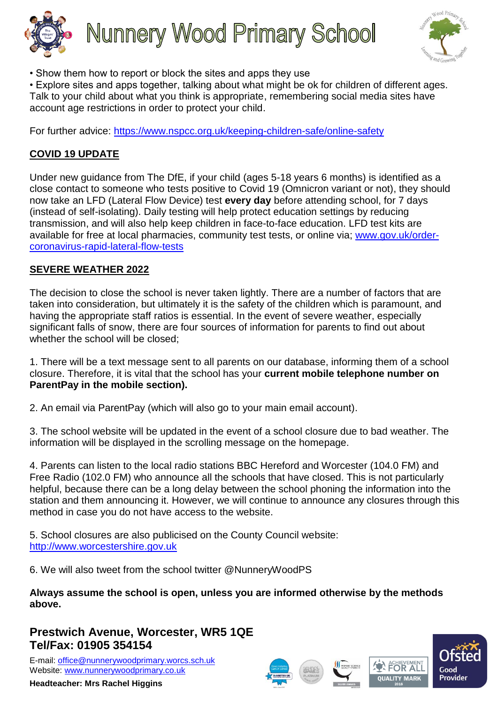



• Show them how to report or block the sites and apps they use

• Explore sites and apps together, talking about what might be ok for children of different ages. Talk to your child about what you think is appropriate, remembering social media sites have account age restrictions in order to protect your child.

For further advice:<https://www.nspcc.org.uk/keeping-children-safe/online-safety>

# **COVID 19 UPDATE**

Under new guidance from The DfE, if your child (ages 5-18 years 6 months) is identified as a close contact to someone who tests positive to Covid 19 (Omnicron variant or not), they should now take an LFD (Lateral Flow Device) test **every day** before attending school, for 7 days (instead of self-isolating). Daily testing will help protect education settings by reducing transmission, and will also help keep children in face-to-face education. LFD test kits are available for free at local pharmacies, community test tests, or online via; [www.gov.uk/order](http://www.gov.uk/order-coronavirus-rapid-lateral-flow-tests)[coronavirus-rapid-lateral-flow-tests](http://www.gov.uk/order-coronavirus-rapid-lateral-flow-tests)

## **SEVERE WEATHER 2022**

The decision to close the school is never taken lightly. There are a number of factors that are taken into consideration, but ultimately it is the safety of the children which is paramount, and having the appropriate staff ratios is essential. In the event of severe weather, especially significant falls of snow, there are four sources of information for parents to find out about whether the school will be closed;

1. There will be a text message sent to all parents on our database, informing them of a school closure. Therefore, it is vital that the school has your **current mobile telephone number on ParentPay in the mobile section).**

2. An email via ParentPay (which will also go to your main email account).

3. The school website will be updated in the event of a school closure due to bad weather. The information will be displayed in the scrolling message on the homepage.

4. Parents can listen to the local radio stations BBC Hereford and Worcester (104.0 FM) and Free Radio (102.0 FM) who announce all the schools that have closed. This is not particularly helpful, because there can be a long delay between the school phoning the information into the station and them announcing it. However, we will continue to announce any closures through this method in case you do not have access to the website.

5. School closures are also publicised on the County Council website: [http://www.worcestershire.gov.uk](http://www.worcestershire.gov.uk/)

6. We will also tweet from the school twitter @NunneryWoodPS

**Always assume the school is open, unless you are informed otherwise by the methods above.**

# **Prestwich Avenue, Worcester, WR5 1QE Tel/Fax: 01905 354154**

E-mail: [office@nunnerywoodprimary.worcs.sch.uk](mailto:office@nunnerywoodprimary.worcs.sch.uk) Website: [www.nunnerywoodprimary.co.uk](http://www.nunnerywoodprimary.worcs.sch.uk/)

**Headteacher: Mrs Rachel Higgins**